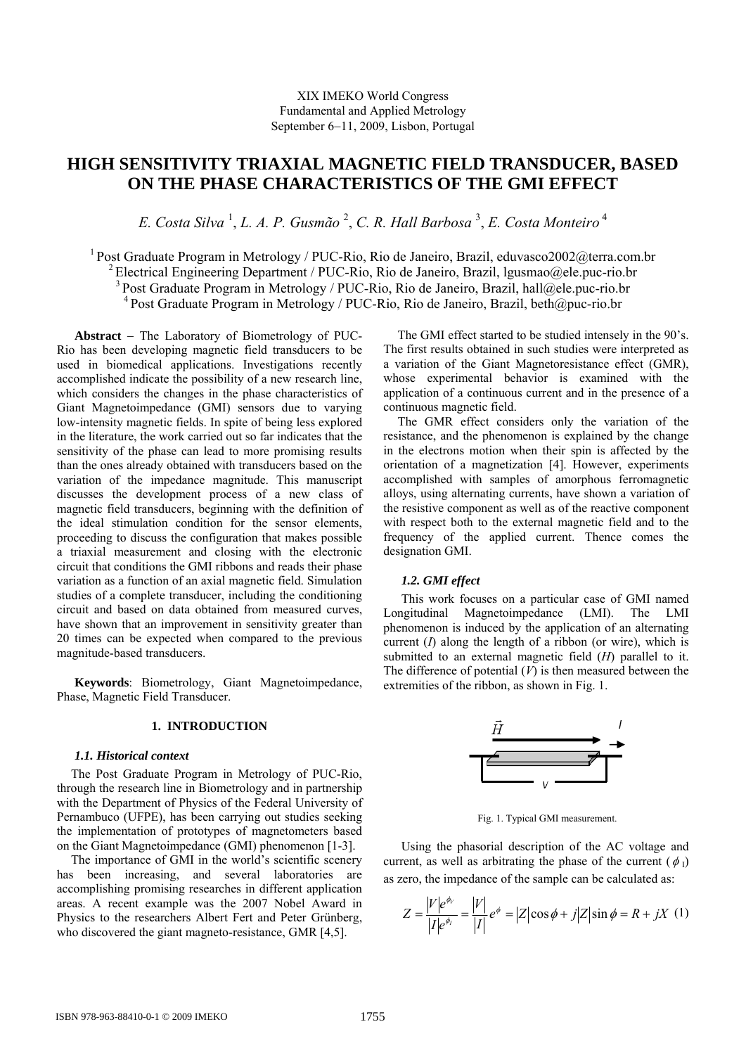# **HIGH SENSITIVITY TRIAXIAL MAGNETIC FIELD TRANSDUCER, BASED ON THE PHASE CHARACTERISTICS OF THE GMI EFFECT**

*E. Costa Silva* <sup>1</sup> , *L. A. P. Gusmão* <sup>2</sup> , *C. R. Hall Barbosa* <sup>3</sup> , *E. Costa Monteiro*<sup>4</sup>

1 Post Graduate Program in Metrology / PUC-Rio, Rio de Janeiro, Brazil, eduvasco2002@terra.com.br <sup>2</sup> Electrical Engineering Department / PUC-Rio, Rio de Janeiro, Brazil, lgusmao@ele.puc-rio.br 3 Post Graduate Program in Metrology / PUC-Rio, Rio de Janeiro, Brazil, hall@ele.puc-rio.br  $4$  Post Graduate Program in Metrology / PUC-Rio, Rio de Janeiro, Brazil, beth $@puc-rio.br$ 

**Abstract** − The Laboratory of Biometrology of PUC-Rio has been developing magnetic field transducers to be used in biomedical applications. Investigations recently accomplished indicate the possibility of a new research line, which considers the changes in the phase characteristics of Giant Magnetoimpedance (GMI) sensors due to varying low-intensity magnetic fields. In spite of being less explored in the literature, the work carried out so far indicates that the sensitivity of the phase can lead to more promising results than the ones already obtained with transducers based on the variation of the impedance magnitude. This manuscript discusses the development process of a new class of magnetic field transducers, beginning with the definition of the ideal stimulation condition for the sensor elements, proceeding to discuss the configuration that makes possible a triaxial measurement and closing with the electronic circuit that conditions the GMI ribbons and reads their phase variation as a function of an axial magnetic field. Simulation studies of a complete transducer, including the conditioning circuit and based on data obtained from measured curves, have shown that an improvement in sensitivity greater than 20 times can be expected when compared to the previous magnitude-based transducers.

**Keywords**: Biometrology, Giant Magnetoimpedance, Phase, Magnetic Field Transducer.

# **1. INTRODUCTION**

#### *1.1. Historical context*

The Post Graduate Program in Metrology of PUC-Rio, through the research line in Biometrology and in partnership with the Department of Physics of the Federal University of Pernambuco (UFPE), has been carrying out studies seeking the implementation of prototypes of magnetometers based on the Giant Magnetoimpedance (GMI) phenomenon [1-3].

The importance of GMI in the world's scientific scenery has been increasing, and several laboratories are accomplishing promising researches in different application areas. A recent example was the 2007 Nobel Award in Physics to the researchers Albert Fert and Peter Grünberg, who discovered the giant magneto-resistance, GMR [4,5].

The GMI effect started to be studied intensely in the 90's. The first results obtained in such studies were interpreted as a variation of the Giant Magnetoresistance effect (GMR), whose experimental behavior is examined with the application of a continuous current and in the presence of a continuous magnetic field.

The GMR effect considers only the variation of the resistance, and the phenomenon is explained by the change in the electrons motion when their spin is affected by the orientation of a magnetization [4]. However, experiments accomplished with samples of amorphous ferromagnetic alloys, using alternating currents, have shown a variation of the resistive component as well as of the reactive component with respect both to the external magnetic field and to the frequency of the applied current. Thence comes the designation GMI.

## *1.2. GMI effect*

This work focuses on a particular case of GMI named Longitudinal Magnetoimpedance (LMI). The LMI phenomenon is induced by the application of an alternating current (*I*) along the length of a ribbon (or wire), which is submitted to an external magnetic field (*H*) parallel to it. The difference of potential  $(V)$  is then measured between the extremities of the ribbon, as shown in Fig. 1.



Fig. 1. Typical GMI measurement.

Using the phasorial description of the AC voltage and current, as well as arbitrating the phase of the current ( $\phi_{\rm I}$ ) as zero, the impedance of the sample can be calculated as:

$$
Z = \frac{|V|e^{\phi_V}}{|I|e^{\phi_I}} = \frac{|V|}{|I|}e^{\phi} = |Z|\cos\phi + j|Z|\sin\phi = R + jX \quad (1)
$$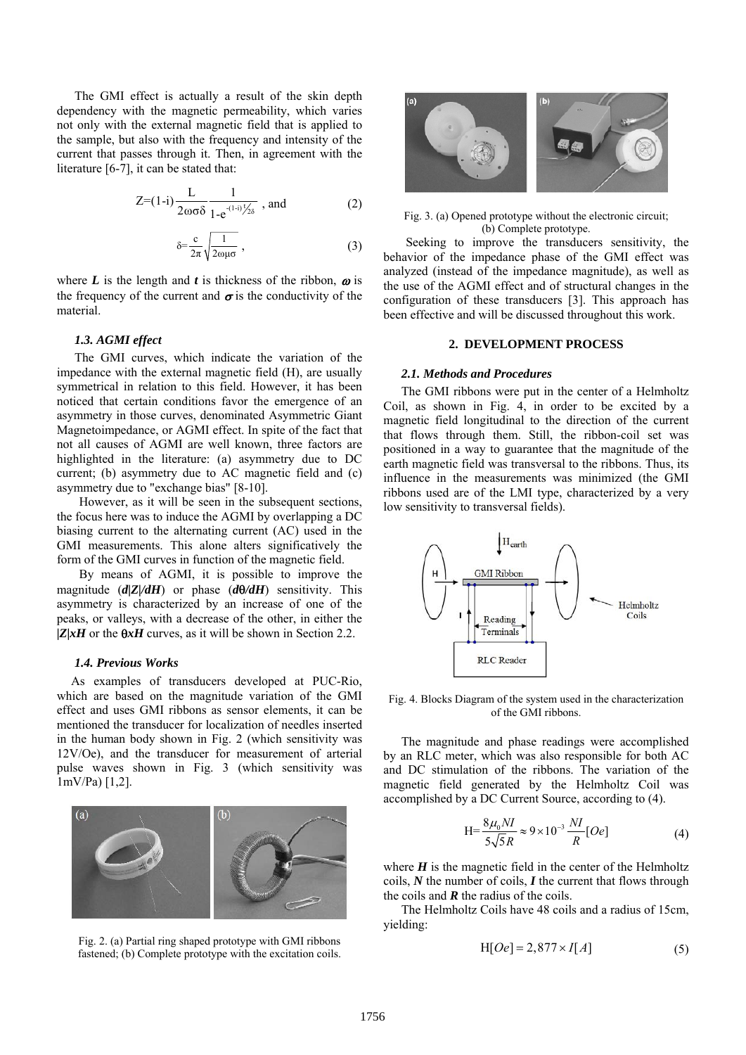The GMI effect is actually a result of the skin depth dependency with the magnetic permeability, which varies not only with the external magnetic field that is applied to the sample, but also with the frequency and intensity of the current that passes through it. Then, in agreement with the literature [6-7], it can be stated that:

$$
Z=(1-i)\frac{L}{2\omega\sigma\delta}\frac{1}{1-e^{-(1-i)\frac{1}{2}\delta}}
$$
, and (2)

$$
\delta = \frac{c}{2\pi} \sqrt{\frac{1}{2\omega\mu\sigma}} \,, \tag{3}
$$

where  $L$  is the length and  $t$  is thickness of the ribbon,  $\omega$  is the frequency of the current and  $\sigma$  is the conductivity of the material.

## *1.3. AGMI effect*

The GMI curves, which indicate the variation of the impedance with the external magnetic field (H), are usually symmetrical in relation to this field. However, it has been noticed that certain conditions favor the emergence of an asymmetry in those curves, denominated Asymmetric Giant Magnetoimpedance, or AGMI effect. In spite of the fact that not all causes of AGMI are well known, three factors are highlighted in the literature: (a) asymmetry due to DC current; (b) asymmetry due to AC magnetic field and (c) asymmetry due to "exchange bias" [8-10].

However, as it will be seen in the subsequent sections, the focus here was to induce the AGMI by overlapping a DC biasing current to the alternating current (AC) used in the GMI measurements. This alone alters significatively the form of the GMI curves in function of the magnetic field.

By means of AGMI, it is possible to improve the magnitude (*d|Z|/dH*) or phase (*d*θ*/dH*) sensitivity. This asymmetry is characterized by an increase of one of the peaks, or valleys, with a decrease of the other, in either the *|Z|xH* or the θ*xH* curves, as it will be shown in Section 2.2.

#### *1.4. Previous Works*

As examples of transducers developed at PUC-Rio, which are based on the magnitude variation of the GMI effect and uses GMI ribbons as sensor elements, it can be mentioned the transducer for localization of needles inserted in the human body shown in Fig. 2 (which sensitivity was 12V/Oe), and the transducer for measurement of arterial pulse waves shown in Fig. 3 (which sensitivity was 1mV/Pa) [1,2].



Fig. 2. (a) Partial ring shaped prototype with GMI ribbons fastened; (b) Complete prototype with the excitation coils.



Fig. 3. (a) Opened prototype without the electronic circuit; (b) Complete prototype.

Seeking to improve the transducers sensitivity, the behavior of the impedance phase of the GMI effect was analyzed (instead of the impedance magnitude), as well as the use of the AGMI effect and of structural changes in the configuration of these transducers [3]. This approach has been effective and will be discussed throughout this work.

#### **2. DEVELOPMENT PROCESS**

#### *2.1. Methods and Procedures*

The GMI ribbons were put in the center of a Helmholtz Coil, as shown in Fig. 4, in order to be excited by a magnetic field longitudinal to the direction of the current that flows through them. Still, the ribbon-coil set was positioned in a way to guarantee that the magnitude of the earth magnetic field was transversal to the ribbons. Thus, its influence in the measurements was minimized (the GMI ribbons used are of the LMI type, characterized by a very low sensitivity to transversal fields).



Fig. 4. Blocks Diagram of the system used in the characterization of the GMI ribbons.

The magnitude and phase readings were accomplished by an RLC meter, which was also responsible for both AC and DC stimulation of the ribbons. The variation of the magnetic field generated by the Helmholtz Coil was accomplished by a DC Current Source, according to (4).

$$
H = \frac{8\mu_0 NI}{5\sqrt{5}R} \approx 9 \times 10^{-3} \frac{NI}{R} [Oe]
$$
 (4)

where  $H$  is the magnetic field in the center of the Helmholtz coils, *N* the number of coils, *I* the current that flows through the coils and  $\boldsymbol{R}$  the radius of the coils.

The Helmholtz Coils have 48 coils and a radius of 15cm, yielding:

$$
H[Oe] = 2,877 \times I[A]
$$
 (5)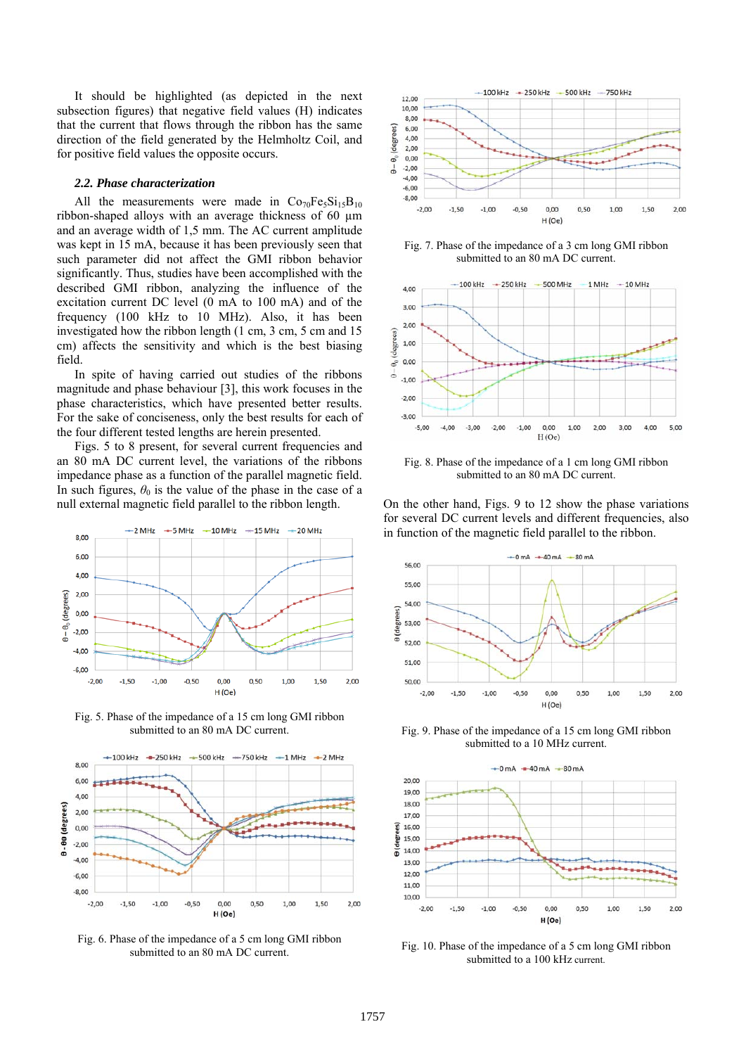It should be highlighted (as depicted in the next subsection figures) that negative field values (H) indicates that the current that flows through the ribbon has the same direction of the field generated by the Helmholtz Coil, and for positive field values the opposite occurs.

# *2.2. Phase characterization*

All the measurements were made in  $Co<sub>70</sub>Fe<sub>5</sub>Si<sub>15</sub>B<sub>10</sub>$ ribbon-shaped alloys with an average thickness of 60 µm and an average width of 1,5 mm. The AC current amplitude was kept in 15 mA, because it has been previously seen that such parameter did not affect the GMI ribbon behavior significantly. Thus, studies have been accomplished with the described GMI ribbon, analyzing the influence of the excitation current DC level (0 mA to 100 mA) and of the frequency (100 kHz to 10 MHz). Also, it has been investigated how the ribbon length (1 cm, 3 cm, 5 cm and 15 cm) affects the sensitivity and which is the best biasing field.

In spite of having carried out studies of the ribbons magnitude and phase behaviour [3], this work focuses in the phase characteristics, which have presented better results. For the sake of conciseness, only the best results for each of the four different tested lengths are herein presented.

Figs. 5 to 8 present, for several current frequencies and an 80 mA DC current level, the variations of the ribbons impedance phase as a function of the parallel magnetic field. In such figures,  $\theta_0$  is the value of the phase in the case of a null external magnetic field parallel to the ribbon length.



Fig. 5. Phase of the impedance of a 15 cm long GMI ribbon submitted to an 80 mA DC current.



Fig. 6. Phase of the impedance of a 5 cm long GMI ribbon submitted to an 80 mA DC current.



Fig. 7. Phase of the impedance of a 3 cm long GMI ribbon submitted to an 80 mA DC current.



Fig. 8. Phase of the impedance of a 1 cm long GMI ribbon submitted to an 80 mA DC current.

On the other hand, Figs. 9 to 12 show the phase variations for several DC current levels and different frequencies, also in function of the magnetic field parallel to the ribbon.



Fig. 9. Phase of the impedance of a 15 cm long GMI ribbon submitted to a 10 MHz current.



Fig. 10. Phase of the impedance of a 5 cm long GMI ribbon submitted to a 100 kHz current.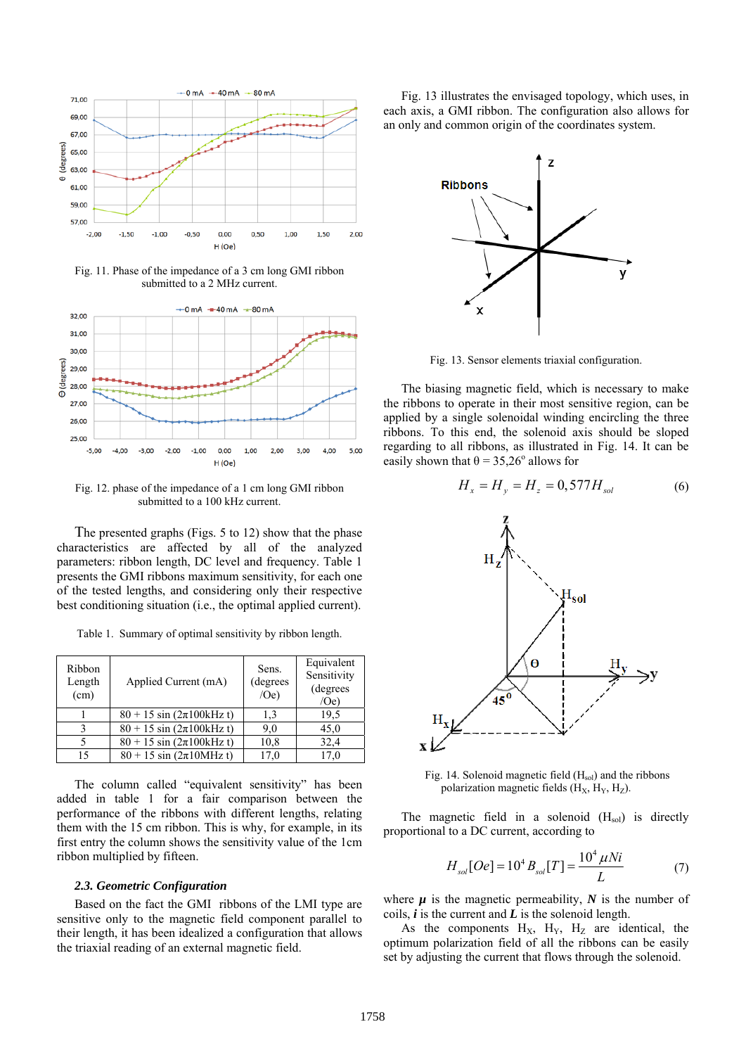

Fig. 11. Phase of the impedance of a 3 cm long GMI ribbon submitted to a 2 MHz current.



Fig. 12. phase of the impedance of a 1 cm long GMI ribbon submitted to a 100 kHz current.

The presented graphs (Figs. 5 to 12) show that the phase characteristics are affected by all of the analyzed parameters: ribbon length, DC level and frequency. Table 1 presents the GMI ribbons maximum sensitivity, for each one of the tested lengths, and considering only their respective best conditioning situation (i.e., the optimal applied current).

Table 1. Summary of optimal sensitivity by ribbon length.

| Ribbon<br>Length<br>(cm) | Applied Current (mA)                   | Sens.<br>(degrees)<br>/Oe) | Equivalent<br>Sensitivity<br>(degrees<br>(0e) |
|--------------------------|----------------------------------------|----------------------------|-----------------------------------------------|
|                          | $80 + 15 \sin (2\pi 100 \text{kHz} t)$ | 1,3                        | 19.5                                          |
| ς                        | $80 + 15 \sin (2\pi 100 \text{kHz} t)$ | 9,0                        | 45,0                                          |
|                          | $80 + 15 \sin (2\pi 100 \text{kHz} t)$ | 10,8                       | 32,4                                          |
| 15                       | $80 + 15 \sin (2\pi 10)$ MHz t)        | 17.0                       | 17.0                                          |

The column called "equivalent sensitivity" has been added in table 1 for a fair comparison between the performance of the ribbons with different lengths, relating them with the 15 cm ribbon. This is why, for example, in its first entry the column shows the sensitivity value of the 1cm ribbon multiplied by fifteen.

#### *2.3. Geometric Configuration*

Based on the fact the GMI ribbons of the LMI type are sensitive only to the magnetic field component parallel to their length, it has been idealized a configuration that allows the triaxial reading of an external magnetic field.

Fig. 13 illustrates the envisaged topology, which uses, in each axis, a GMI ribbon. The configuration also allows for an only and common origin of the coordinates system.



Fig. 13. Sensor elements triaxial configuration.

The biasing magnetic field, which is necessary to make the ribbons to operate in their most sensitive region, can be applied by a single solenoidal winding encircling the three ribbons. To this end, the solenoid axis should be sloped regarding to all ribbons, as illustrated in Fig. 14. It can be easily shown that  $\theta = 35,26^{\circ}$  allows for



Fig. 14. Solenoid magnetic field  $(H_{sol})$  and the ribbons polarization magnetic fields  $(H_X, H_Y, H_Z)$ .

The magnetic field in a solenoid  $(H_{sol})$  is directly proportional to a DC current, according to

$$
H_{sol}[Oe] = 10^4 B_{sol}[T] = \frac{10^4 \,\mu Ni}{L} \tag{7}
$$

where  $\mu$  is the magnetic permeability,  $N$  is the number of coils, *i* is the current and *L* is the solenoid length.

As the components  $H_X$ ,  $H_Y$ ,  $H_Z$  are identical, the optimum polarization field of all the ribbons can be easily set by adjusting the current that flows through the solenoid.